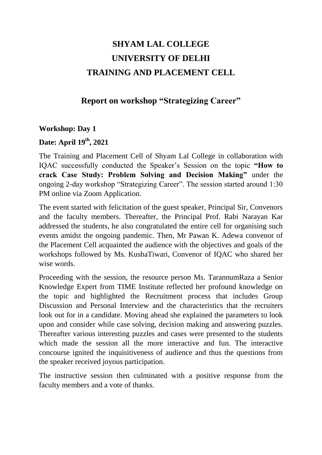# **SHYAM LAL COLLEGE UNIVERSITY OF DELHI TRAINING AND PLACEMENT CELL**

## **Report on workshop "Strategizing Career"**

#### **Workshop: Day 1**

#### **Date: April 19th, 2021**

The Training and Placement Cell of Shyam Lal College in collaboration with IQAC successfully conducted the Speaker's Session on the topic **"How to crack Case Study: Problem Solving and Decision Making"** under the ongoing 2-day workshop "Strategizing Career". The session started around 1:30 PM online via Zoom Application.

The event started with felicitation of the guest speaker, Principal Sir, Convenors and the faculty members. Thereafter, the Principal Prof. Rabi Narayan Kar addressed the students, he also congratulated the entire cell for organising such events amidst the ongoing pandemic. Then, Mr Pawan K. Adewa convenor of the Placement Cell acquainted the audience with the objectives and goals of the workshops followed by Ms. KushaTiwari, Convenor of IQAC who shared her wise words.

Proceeding with the session, the resource person Ms. TarannumRaza a Senior Knowledge Expert from TIME Institute reflected her profound knowledge on the topic and highlighted the Recruitment process that includes Group Discussion and Personal Interview and the characteristics that the recruiters look out for in a candidate. Moving ahead she explained the parameters to look upon and consider while case solving, decision making and answering puzzles. Thereafter various interesting puzzles and cases were presented to the students which made the session all the more interactive and fun. The interactive concourse ignited the inquisitiveness of audience and thus the questions from the speaker received joyous participation.

The instructive session then culminated with a positive response from the faculty members and a vote of thanks.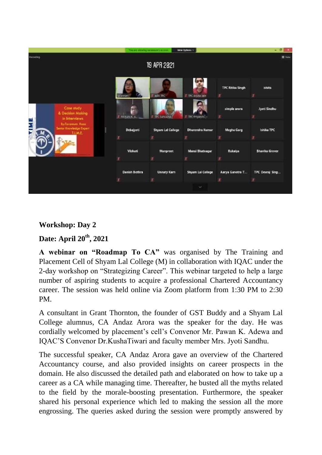

## **Workshop: Day 2**

## **Date: April 20th, 2021**

**A webinar on "Roadmap To CA"** was organised by The Training and Placement Cell of Shyam Lal College (M) in collaboration with IQAC under the 2-day workshop on "Strategizing Career". This webinar targeted to help a large number of aspiring students to acquire a professional Chartered Accountancy career. The session was held online via Zoom platform from 1:30 PM to 2:30 PM.

A consultant in Grant Thornton, the founder of GST Buddy and a Shyam Lal College alumnus, CA Andaz Arora was the speaker for the day. He was cordially welcomed by placement's cell's Convenor Mr. Pawan K. Adewa and IQAC'S Convenor Dr.KushaTiwari and faculty member Mrs. Jyoti Sandhu.

The successful speaker, CA Andaz Arora gave an overview of the Chartered Accountancy course, and also provided insights on career prospects in the domain. He also discussed the detailed path and elaborated on how to take up a career as a CA while managing time. Thereafter, he busted all the myths related to the field by the morale-boosting presentation. Furthermore, the speaker shared his personal experience which led to making the session all the more engrossing. The queries asked during the session were promptly answered by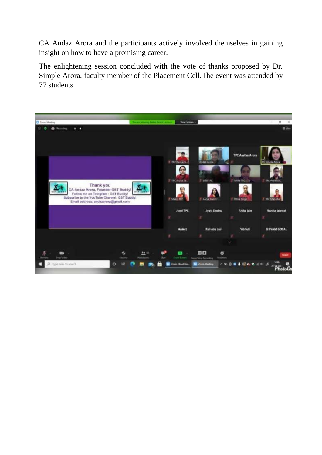CA Andaz Arora and the participants actively involved themselves in gaining insight on how to have a promising career.

The enlightening session concluded with the vote of thanks proposed by Dr. Simple Arora, faculty member of the Placement Cell.The event was attended by 77 students